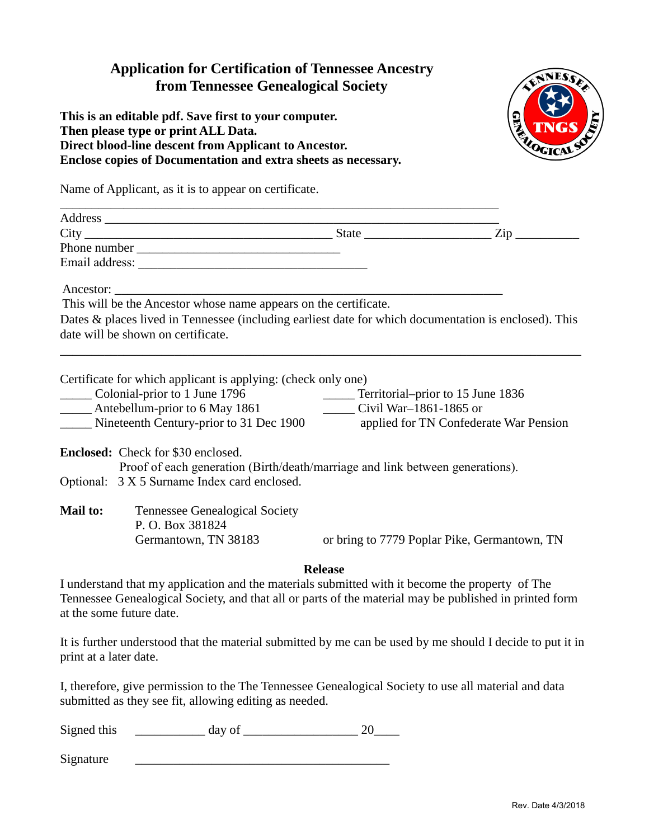## **Application for Certification of Tennessee Ancestry from Tennessee Genealogical Society**

**This is an editable pdf. Save first to your computer. Then please type or print ALL Data. Direct blood-line descent from Applicant to Ancestor. Enclose copies of Documentation and extra sheets as necessary.**



Name of Applicant, as it is to appear on certificate.

|                 | $City$ ${\color{red} 2ip}$ ${\color{red} 2ip}$                                                                                                                                                                                                                         |                                                             |                                              |  |  |  |
|-----------------|------------------------------------------------------------------------------------------------------------------------------------------------------------------------------------------------------------------------------------------------------------------------|-------------------------------------------------------------|----------------------------------------------|--|--|--|
|                 |                                                                                                                                                                                                                                                                        |                                                             |                                              |  |  |  |
|                 |                                                                                                                                                                                                                                                                        |                                                             |                                              |  |  |  |
|                 | This will be the Ancestor whose name appears on the certificate.                                                                                                                                                                                                       |                                                             |                                              |  |  |  |
|                 | Dates & places lived in Tennessee (including earliest date for which documentation is enclosed). This                                                                                                                                                                  |                                                             |                                              |  |  |  |
|                 | date will be shown on certificate.                                                                                                                                                                                                                                     |                                                             |                                              |  |  |  |
|                 | Certificate for which applicant is applying: (check only one)<br>Colonial-prior to 1 June 1796<br>______ Antebellum-prior to 6 May 1861<br>Nineteenth Century-prior to 31 Dec 1900 applied for TN Confederate War Pension<br><b>Enclosed:</b> Check for \$30 enclosed. | Territorial–prior to 15 June 1836<br>Civil War-1861-1865 or |                                              |  |  |  |
|                 | Proof of each generation (Birth/death/marriage and link between generations).                                                                                                                                                                                          |                                                             |                                              |  |  |  |
|                 | Optional: 3 X 5 Surname Index card enclosed.                                                                                                                                                                                                                           |                                                             |                                              |  |  |  |
| <b>Mail to:</b> | <b>Tennessee Genealogical Society</b><br>P. O. Box 381824<br>Germantown, TN 38183                                                                                                                                                                                      |                                                             | or bring to 7779 Poplar Pike, Germantown, TN |  |  |  |
|                 |                                                                                                                                                                                                                                                                        | <b>Release</b>                                              |                                              |  |  |  |
|                 | I understand that my application and the materials submitted with it become the property of The<br>Tennessee Genealogical Society, and that all or parts of the material may be published in printed form<br>at the some future date.                                  |                                                             |                                              |  |  |  |
|                 |                                                                                                                                                                                                                                                                        |                                                             |                                              |  |  |  |

It is further understood that the material submitted by me can be used by me should I decide to put it in print at a later date.

I, therefore, give permission to the The Tennessee Genealogical Society to use all material and data submitted as they see fit, allowing editing as needed.

| Signed this |  |  |
|-------------|--|--|
|-------------|--|--|

Signature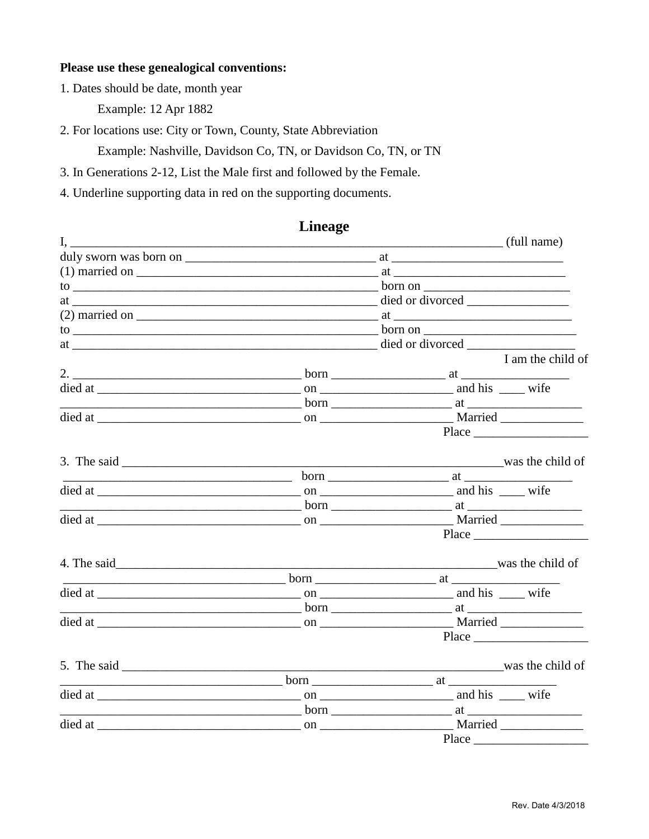#### Please use these genealogical conventions:

1. Dates should be date, month year

Example: 12 Apr 1882

2. For locations use: City or Town, County, State Abbreviation

Example: Nashville, Davidson Co, TN, or Davidson Co, TN, or TN

3. In Generations 2-12, List the Male first and followed by the Female.

4. Underline supporting data in red on the supporting documents.

#### $\mathbf{I}$ (full name) duly sworn was born on at  $(1)$  married on  $\qquad \qquad$  at  $\qquad \qquad$ to born on at died or divorced distribution of the state of the state of the state of the state of the state of the state of the state of the state of the state of the state of the state of the state of the state of the state of the  $\alpha$  married on  $\alpha$  at I am the child of  $2.$  born at Place 3. The said  $\qquad \qquad$ was the child of  $\frac{1}{2}$  born  $\frac{1}{2}$  at  $\frac{1}{2}$ **born** at a state of the state of the state of the state of the state of the state of the state of the state of the state of the state of the state of the state of the state of the state of the state of the state of the st died at on the Married Married was the child of **born** at Married Place 5. The said  $\qquad \qquad$ was the child of died at on the contract on the contract of the contract of the contract of the contract of the contract of the contract of the contract of the contract of the contract of the contract of the contract of the contract of the **born** at a state of the state of the state of the state of the state of the state of the state of the state of the state of the state of the state of the state of the state of the state of the state of the state of the st died at on the Married **Place** Place

### **Lineage**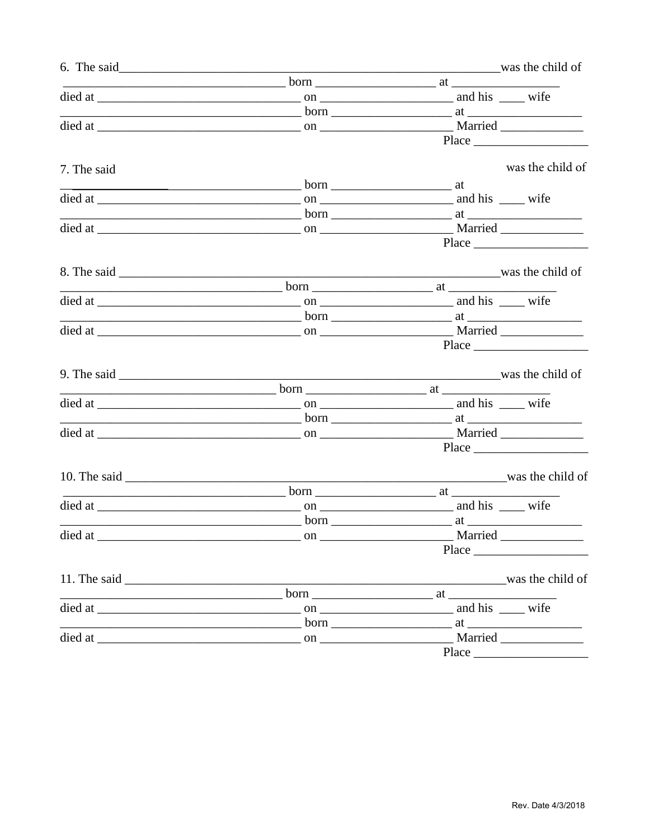|             |                                                                                                                                                                                                                                | was the child of |                  |
|-------------|--------------------------------------------------------------------------------------------------------------------------------------------------------------------------------------------------------------------------------|------------------|------------------|
|             |                                                                                                                                                                                                                                |                  |                  |
|             |                                                                                                                                                                                                                                |                  |                  |
|             |                                                                                                                                                                                                                                |                  |                  |
|             |                                                                                                                                                                                                                                |                  |                  |
|             |                                                                                                                                                                                                                                |                  | $Place \_$       |
|             |                                                                                                                                                                                                                                |                  |                  |
| 7. The said |                                                                                                                                                                                                                                |                  | was the child of |
|             |                                                                                                                                                                                                                                |                  |                  |
|             |                                                                                                                                                                                                                                |                  |                  |
|             |                                                                                                                                                                                                                                |                  |                  |
|             |                                                                                                                                                                                                                                |                  |                  |
|             |                                                                                                                                                                                                                                |                  |                  |
|             |                                                                                                                                                                                                                                |                  |                  |
|             |                                                                                                                                                                                                                                |                  | was the child of |
|             |                                                                                                                                                                                                                                |                  |                  |
|             |                                                                                                                                                                                                                                |                  |                  |
|             |                                                                                                                                                                                                                                |                  |                  |
|             |                                                                                                                                                                                                                                |                  |                  |
|             |                                                                                                                                                                                                                                |                  |                  |
|             |                                                                                                                                                                                                                                |                  |                  |
|             |                                                                                                                                                                                                                                |                  | was the child of |
|             |                                                                                                                                                                                                                                |                  |                  |
|             |                                                                                                                                                                                                                                |                  |                  |
|             | born 1.1 at 2.000 at 2.000 at 2.000 at 2.000 at 2.000 at 2.000 at 2.000 at 2.000 at 2.000 at 2.000 at 2.000 at 2.000 at 2.000 at 2.000 at 2.000 at 2.000 at 2.000 at 2.000 at 2.000 at 2.000 at 2.000 at 2.000 at 2.000 at 2.0 |                  |                  |
|             |                                                                                                                                                                                                                                |                  |                  |
|             |                                                                                                                                                                                                                                |                  |                  |
|             |                                                                                                                                                                                                                                |                  |                  |
|             |                                                                                                                                                                                                                                |                  |                  |
|             |                                                                                                                                                                                                                                |                  |                  |
|             |                                                                                                                                                                                                                                |                  |                  |
|             |                                                                                                                                                                                                                                |                  |                  |
|             |                                                                                                                                                                                                                                |                  |                  |
|             |                                                                                                                                                                                                                                |                  |                  |
|             |                                                                                                                                                                                                                                |                  |                  |
|             | 11. The said was the child of                                                                                                                                                                                                  |                  |                  |
|             |                                                                                                                                                                                                                                |                  |                  |
|             |                                                                                                                                                                                                                                |                  |                  |
|             |                                                                                                                                                                                                                                |                  |                  |
|             |                                                                                                                                                                                                                                |                  |                  |
|             |                                                                                                                                                                                                                                |                  |                  |
|             |                                                                                                                                                                                                                                |                  | Place            |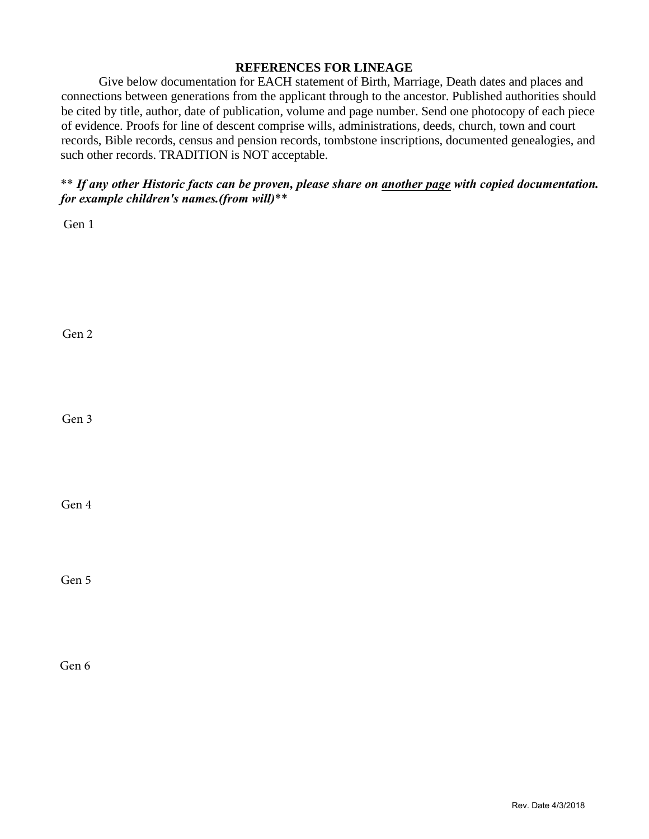#### **REFERENCES FOR LINEAGE**

Give below documentation for EACH statement of Birth, Marriage, Death dates and places and connections between generations from the applicant through to the ancestor. Published authorities should be cited by title, author, date of publication, volume and page number. Send one photocopy of each piece of evidence. Proofs for line of descent comprise wills, administrations, deeds, church, town and court records, Bible records, census and pension records, tombstone inscriptions, documented genealogies, and such other records. TRADITION is NOT acceptable.

## \*\* *If any other Historic facts can be proven, please share on another page with copied documentation. for example children's names.(from will)*\*\*

Gen 1

Gen 2

Gen 3

Gen 4

Gen 5

Gen 6